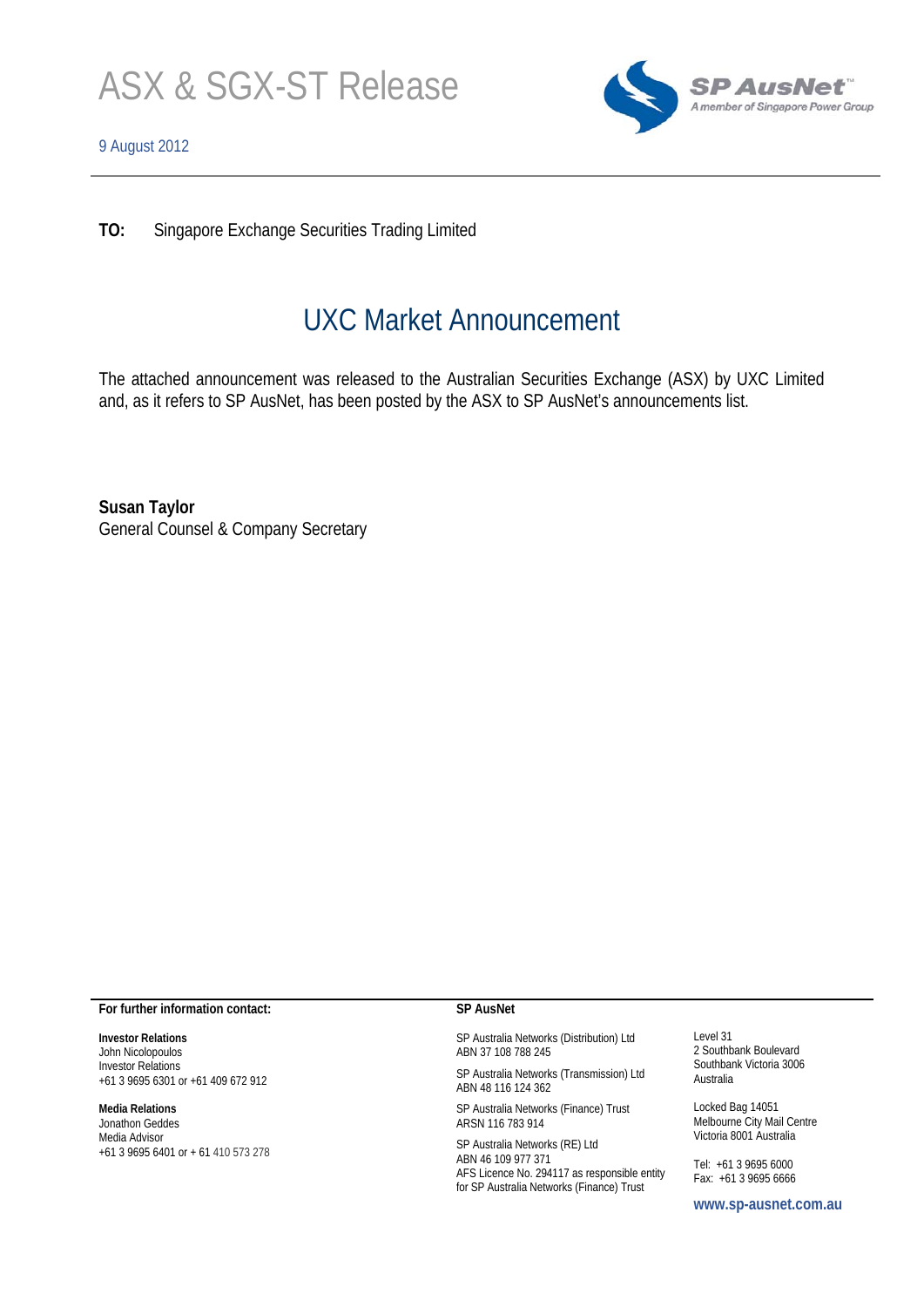



**TO:** Singapore Exchange Securities Trading Limited

# UXC Market Announcement

The attached announcement was released to the Australian Securities Exchange (ASX) by UXC Limited and, as it refers to SP AusNet, has been posted by the ASX to SP AusNet's announcements list.

**Susan Taylor**  General Counsel & Company Secretary

#### **For further information contact:**

**Investor Relations**  John Nicolopoulos Investor Relations +61 3 9695 6301 or +61 409 672 912

#### **Media Relations**

Jonathon Geddes Media Advisor +61 3 9695 6401 or + 61 410 573 278

#### **SP AusNet**

SP Australia Networks (Distribution) Ltd ABN 37 108 788 245

SP Australia Networks (Transmission) Ltd ABN 48 116 124 362

SP Australia Networks (Finance) Trust ARSN 116 783 914

SP Australia Networks (RE) Ltd ABN 46 109 977 371 AFS Licence No. 294117 as responsible entity for SP Australia Networks (Finance) Trust

Level 31 2 Southbank Boulevard Southbank Victoria 3006 Australia

Locked Bag 14051 Melbourne City Mail Centre Victoria 8001 Australia

Tel: +61 3 9695 6000 Fax: +61 3 9695 6666

**www.sp-ausnet.com.au**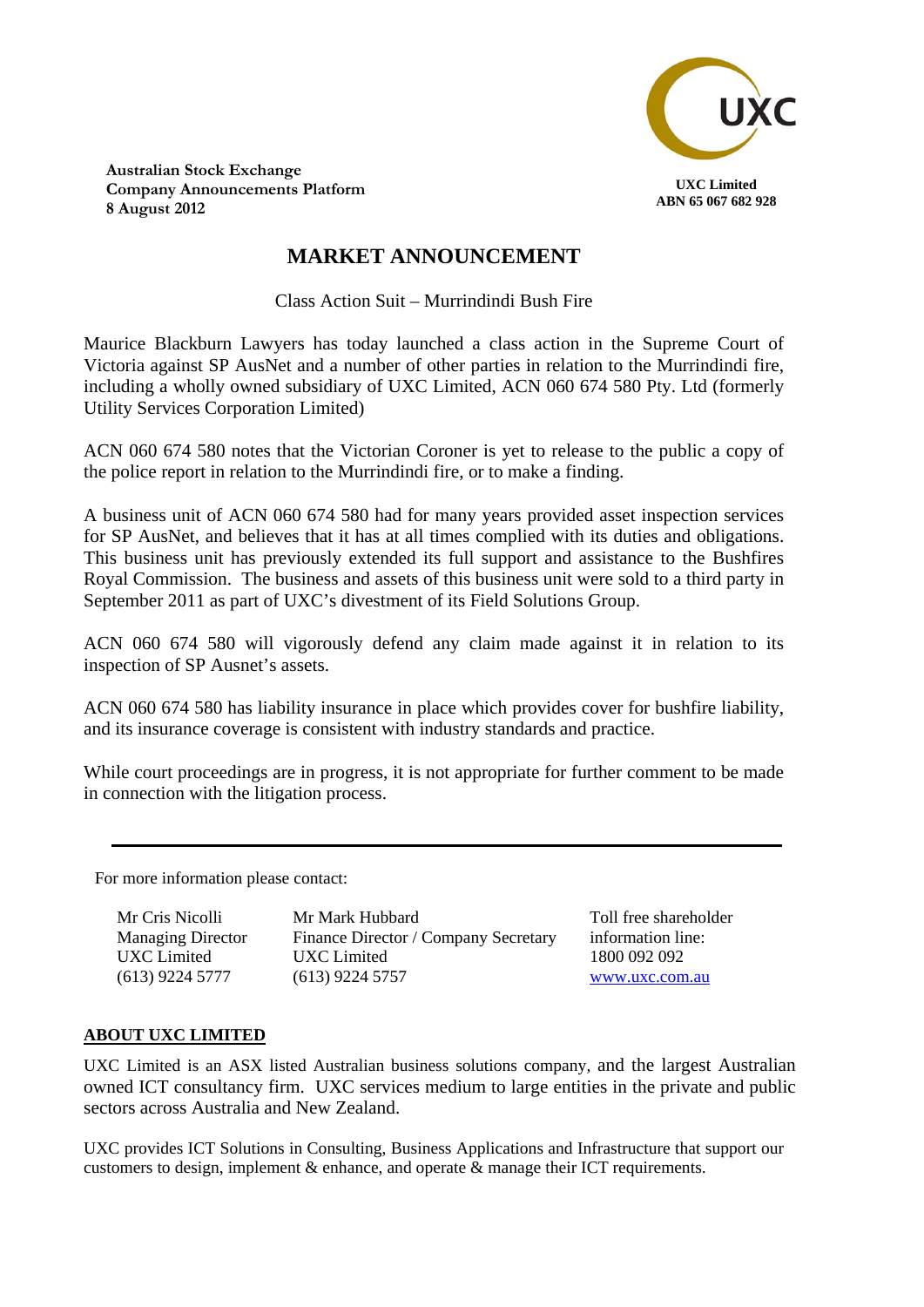

**Australian Stock Exchange Company Announcements Platform 8 August 2012**

## **MARKET ANNOUNCEMENT**

Class Action Suit – Murrindindi Bush Fire

Maurice Blackburn Lawyers has today launched a class action in the Supreme Court of Victoria against SP AusNet and a number of other parties in relation to the Murrindindi fire, including a wholly owned subsidiary of UXC Limited, ACN 060 674 580 Pty. Ltd (formerly Utility Services Corporation Limited)

ACN 060 674 580 notes that the Victorian Coroner is yet to release to the public a copy of the police report in relation to the Murrindindi fire, or to make a finding.

A business unit of ACN 060 674 580 had for many years provided asset inspection services for SP AusNet, and believes that it has at all times complied with its duties and obligations. This business unit has previously extended its full support and assistance to the Bushfires Royal Commission. The business and assets of this business unit were sold to a third party in September 2011 as part of UXC's divestment of its Field Solutions Group.

ACN 060 674 580 will vigorously defend any claim made against it in relation to its inspection of SP Ausnet's assets.

ACN 060 674 580 has liability insurance in place which provides cover for bushfire liability, and its insurance coverage is consistent with industry standards and practice.

While court proceedings are in progress, it is not appropriate for further comment to be made in connection with the litigation process.

For more information please contact:

| Mr Cris Nicolli                  | Mr Mark Hubbard                      | Тo             |
|----------------------------------|--------------------------------------|----------------|
| <b>Managing Director</b>         | Finance Director / Company Secretary | in             |
| UXC Limited<br>$(613)$ 9224 5777 | UXC Limited<br>$(613)$ 9224 5757     | 18<br><u>W</u> |

oll free shareholder formation line: 1800 092 092 www.uxc.com.au

### **ABOUT UXC LIMITED**

UXC Limited is an ASX listed Australian business solutions company, and the largest Australian owned ICT consultancy firm. UXC services medium to large entities in the private and public sectors across Australia and New Zealand.

UXC provides ICT Solutions in Consulting, Business Applications and Infrastructure that support our customers to design, implement  $\&$  enhance, and operate  $\&$  manage their ICT requirements.